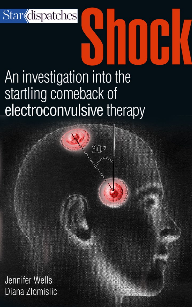**Star** dispatches

# An investigation into the startling comeback of<br>electroconvulsive therapy

 $30°$ 

*Shock*

Jennifer Wells Diana Zlomislic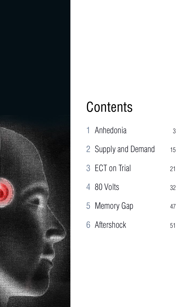

## **Contents**

| 1 Anhedonia         | 3  |
|---------------------|----|
| 2 Supply and Demand | 15 |
| 3 ECT on Trial      | 21 |
| 4 80 Volts          | 32 |
| 5 Memory Gap        | 47 |
| 6 Aftershock        | 51 |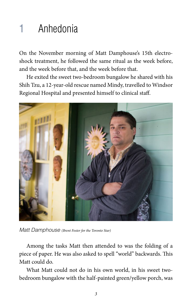## 1 Anhedonia

On the November morning of Matt Damphouse's 15th electroshock treatment, he followed the same ritual as the week before, and the week before that, and the week before that.

He exited the sweet two-bedroom bungalow he shared with his Shih Tzu, a 12-year-old rescue named Mindy, travelled to Windsor Regional Hospital and presented himself to clinical staff.



*Matt Damphouse (Brent Foster for the Toronto Star)*

Among the tasks Matt then attended to was the folding of a piece of paper. He was also asked to spell "world" backwards. This Matt could do.

What Matt could not do in his own world, in his sweet twobedroom bungalow with the half-painted green/yellow porch, was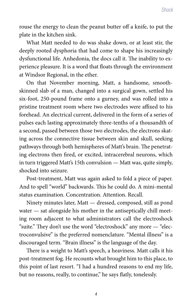rouse the energy to clean the peanut butter off a knife, to put the plate in the kitchen sink.

What Matt needed to do was shake down, or at least stir, the deeply rooted dysphoria that had come to shape his increasingly dysfunctional life. Anhedonia, the docs call it. The inability to experience pleasure. It is a word that floats through the environment at Windsor Regional, in the ether.

On that November morning, Matt, a handsome, smoothskinned slab of a man, changed into a surgical gown, settled his six-foot, 250-pound frame onto a gurney, and was rolled into a pristine treatment room where two electrodes were affixed to his forehead. An electrical current, delivered in the form of a series of pulses each lasting approximately three-tenths of a thousandth of a second, passed between those two electrodes, the electrons skating across the connective tissue between skin and skull, seeking pathways through both hemispheres of Matt's brain. The penetrating electrons then fired, or excited, intracerebral neurons, which in turn triggered Matt's 15th convulsion — Matt was, quite simply, shocked into seizure.

Post-treatment, Matt was again asked to fold a piece of paper. And to spell "world" backwards. This he could do. A mini-mental status examination. Concentration. Attention. Recall.

Ninety minutes later, Matt — dressed, composed, still as pond water — sat alongside his mother in the antiseptically chill meeting room adjacent to what administrators call the electroshock "suite." They don't use the word "electroshock" any more — "electroconvulsive" is the preferred nomenclature. "Mental illness" is a discouraged term. "Brain illness" is the language of the day.

There is a weight to Matt's speech, a heaviness. Matt calls it his post-treatment fog. He recounts what brought him to this place, to this point of last resort. "I had a hundred reasons to end my life, but no reasons, really, to continue," he says flatly, tonelessly.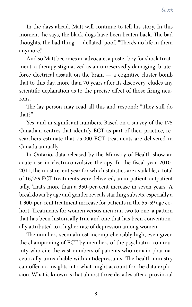In the days ahead, Matt will continue to tell his story. In this moment, he says, the black dogs have been beaten back. The bad thoughts, the bad thing — deflated, poof. "There's no life in them anymore."

And so Matt becomes an advocate, a poster boy for shock treatment, a therapy stigmatized as an unreservedly damaging, bruteforce electrical assault on the brain — a cognitive cluster bomb that to this day, more than 70 years after its discovery, eludes any scientific explanation as to the precise effect of those firing neurons.

The lay person may read all this and respond: "They still do that?"

Yes, and in significant numbers. Based on a survey of the 175 Canadian centres that identify ECT as part of their practice, researchers estimate that 75,000 ECT treatments are delivered in Canada annually.

In Ontario, data released by the Ministry of Health show an acute rise in electroconvulsive therapy. In the fiscal year 2010- 2011, the most recent year for which statistics are available, a total of 16,259 ECT treatments were delivered, an in-patient-outpatient tally. That's more than a 350-per-cent increase in seven years. A breakdown by age and gender reveals startling subsets, especially a 1,300-per-cent treatment increase for patients in the 55-59 age cohort. Treatments for women versus men run two to one, a pattern that has been historically true and one that has been conventionally attributed to a higher rate of depression among women.

The numbers seem almost incomprehensibly high, even given the championing of ECT by members of the psychiatric community who cite the vast numbers of patients who remain pharmaceutically unreachable with antidepressants. The health ministry can offer no insights into what might account for the data explosion. What is known is that almost three decades after a provincial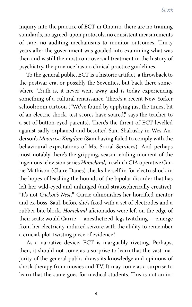inquiry into the practice of ECT in Ontario, there are no training standards, no agreed-upon protocols, no consistent measurements of care, no auditing mechanisms to monitor outcomes. Thirty years after the government was goaded into examining what was then and is still the most controversial treatment in the history of psychiatry, the province has no clinical practice guidelines.

To the general public, ECT is a historic artifact, a throwback to the postwar era, or possibly the Seventies, but back there somewhere. Truth is, it never went away and is today experiencing something of a cultural renaissance. There's a recent New Yorker schoolroom cartoon ("We've found by applying just the tiniest bit of an electric shock, test scores have soared," says the teacher to a set of button-eyed parents). There's the threat of ECT levelled against sadly orphaned and besotted Sam Shakusky in Wes Anderson's *Moonrise Kingdom* (Sam having failed to comply with the behavioural expectations of Ms. Social Services). And perhaps most notably there's the gripping, season-ending moment of the ingenious television series *Homeland*, in which CIA operative Carrie Mathison (Claire Danes) checks herself in for electroshock in the hopes of leashing the hounds of the bipolar disorder that has left her wild-eyed and unhinged (and stratospherically creative). "It's not *Cuckoo's Nest,*" Carrie admonishes her horrified mentor and ex-boss, Saul, before she's fixed with a set of electrodes and a rubber bite block. *Homeland* aficionados were left on the edge of their seats: would Carrie — anesthetized, legs twitching — emerge from her electricity-induced seizure with the ability to remember a crucial, plot-twisting piece of evidence?

As a narrative device, ECT is inarguably riveting. Perhaps, then, it should not come as a surprise to learn that the vast majority of the general public draws its knowledge and opinions of shock therapy from movies and TV. It may come as a surprise to learn that the same goes for medical students. This is not an in-

*6*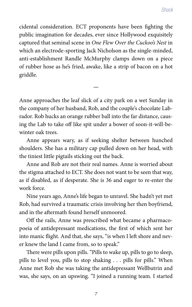cidental consideration. ECT proponents have been fighting the public imagination for decades, ever since Hollywood exquisitely captured that seminal scene in *One Flew Over the Cuckoo's Nest* in which an electrode-sporting Jack Nicholson as the single-minded, anti-establishment Randle McMurphy clamps down on a piece of rubber hose as he's fried, awake, like a strip of bacon on a hot griddle.

Anne approaches the leaf slick of a city park on a wet Sunday in the company of her husband, Rob, and the couple's chocolate Labrador. Rob hucks an orange rubber ball into the far distance, causing the Lab to take off like spit under a bower of soon-it-will-bewinter oak trees.

**—**

Anne appears wary, as if seeking shelter between hunched shoulders. She has a military cap pulled down on her head, with the tiniest little pigtails sticking out the back.

Anne and Rob are not their real names. Anne is worried about the stigma attached to ECT. She does not want to be seen that way, as if disabled, as if desperate. She is 36 and eager to re-enter the work force.

Nine years ago, Anne's life began to unravel. She hadn't yet met Rob, had survived a traumatic crisis involving her then boyfriend, and in the aftermath found herself unmoored.

Off the rails, Anne was prescribed what became a pharmacopoeia of antidepressant medications, the first of which sent her into manic flight. And that, she says, "is when I left shore and never knew the land I came from, so to speak."

There were pills upon pills. "Pills to wake up, pills to go to sleep, pills to level you, pills to stop shaking . . . pills for pills." When Anne met Rob she was taking the antidepressant Wellbutrin and was, she says, on an upswing. "I joined a running team. I started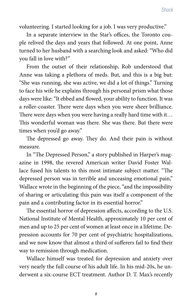volunteering. I started looking for a job. I was very productive."

In a separate interview in the Star's offices, the Toronto couple relived the days and years that followed. At one point, Anne turned to her husband with a searching look and asked: "Who did you fall in love with?"

From the outset of their relationship, Rob understood that Anne was taking a plethora of meds. But, and this is a big but: "She was running, she was active, we did a lot of things." Turning to face his wife he explains through his personal prism what those days were like: "It ebbed and flowed, your ability to function. It was a roller-coaster. There were days when you were sheer brilliance. There were days when you were having a really hard time with it… This wonderful woman was there. She was there. But there were times when you'd go away."

The depressed go away. They do. And their pain is without measure.

In "The Depressed Person," a story published in Harper's magazine in 1998, the revered American writer David Foster Wallace fused his talents to this most intimate subject matter. "The depressed person was in terrible and unceasing emotional pain," Wallace wrote in the beginning of the piece, "and the impossibility of sharing or articulating this pain was itself a component of the pain and a contributing factor in its essential horror."

The essential horror of depression affects, according to the U.S. National Institute of Mental Health, approximately 10 per cent of men and up to 25 per cent of women at least once in a lifetime. Depression accounts for 70 per cent of psychiatric hospitalizations, and we now know that almost a third of sufferers fail to find their way to remission through medication.

Wallace himself was treated for depression and anxiety over very nearly the full course of his adult life. In his mid-20s, he underwent a six-course ECT treatment. Author D. T. Max's recently

*8*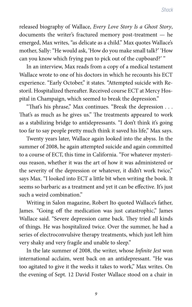released biography of Wallace, *Every Love Story Is a Ghost Story*, documents the writer's fractured memory post-treatment — he emerged, Max writes, "as delicate as a child." Max quotes Wallace's mother, Sally: "He would ask, 'How do you make small talk?' 'How can you know which frying pan to pick out of the cupboard?' "

In an interview, Max reads from a copy of a medical testament Wallace wrote to one of his doctors in which he recounts his ECT experience. "Early October," it states. "Attempted suicide with Restoril. Hospitalized thereafter. Received course ECT at Mercy Hospital in Champaign, which seemed to break the depression."

"That's his phrase," Max continues. "Break the depression . . . That's as much as he gives us." The treatments appeared to work as a stabilizing bridge to antidepressants. "I don't think it's going too far to say people pretty much think it saved his life," Max says.

Twenty years later, Wallace again looked into the abyss. In the summer of 2008, he again attempted suicide and again committed to a course of ECT, this time in California. "For whatever mysterious reason, whether it was the art of how it was administered or the severity of the depression or whatever, it didn't work twice," says Max. "I looked into ECT a little bit when writing the book. It seems so barbaric as a treatment and yet it can be effective. It's just such a weird combination."

Writing in Salon magazine, Robert Ito quoted Wallace's father, James. "Going off the medication was just catastrophic," James Wallace said. "Severe depression came back. They tried all kinds of things. He was hospitalized twice. Over the summer, he had a series of electroconvulsive therapy treatments, which just left him very shaky and very fragile and unable to sleep."

In the late summer of 2008, the writer, whose *Infinite Jest* won international acclaim, went back on an antidepressant. "He was too agitated to give it the weeks it takes to work," Max writes. On the evening of Sept. 12 David Foster Wallace stood on a chair in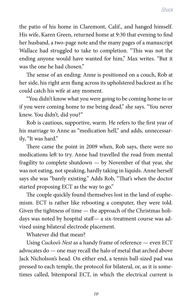the patio of his home in Claremont, Calif., and hanged himself. His wife, Karen Green, returned home at 9:30 that evening to find her husband, a two-page note and the many pages of a manuscript Wallace had struggled to take to completion. "This was not the ending anyone would have wanted for him," Max writes. "But it was the one he had chosen"

The sense of an ending: Anne is positioned on a couch, Rob at her side, his right arm flung across its upholstered backrest as if he could catch his wife at any moment.

"You didn't know what you were going to be coming home to or if you were coming home to me being dead," she says. "You never knew. You didn't, did you?"

Rob is cautious, supportive, warm. He refers to the first year of his marriage to Anne as "medication hell," and adds, unnecessarily, "It was hard."

There came the point in 2009 when, Rob says, there were no medications left to try. Anne had travelled the road from mental fragility to complete shutdown — by November of that year, she was not eating, not speaking, hardly taking in liquids. Anne herself says she was "barely existing." Adds Rob, "That's when the doctor started proposing ECT as the way to go."

The couple quickly found themselves lost in the land of euphemism. ECT is rather like rebooting a computer, they were told. Given the tightness of time — the approach of the Christmas holidays was noted by hospital staff— a six-treatment course was advised using bilateral electrode placement.

Whatever did that mean?

Using *Cuckoo's Nest* as a handy frame of reference — even ECT advocates do — one may recall the halo of metal that arched above Jack Nicholson's head. On either end, a tennis ball-sized pad was pressed to each temple, the protocol for bilateral, or, as it is sometimes called, bitemporal ECT, in which the electrical current is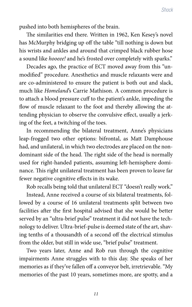pushed into both hemispheres of the brain.

The similarities end there. Written in 1962, Ken Kesey's novel has McMurphy bridging up off the table "till nothing is down but his wrists and ankles and around that crimped black rubber hose a sound like *hooeee!* and he's frosted over completely with sparks."

Decades ago, the practice of ECT moved away from this "unmodified" procedure. Anesthetics and muscle relaxants were and are co-administered to ensure the patient is both out and slack, much like *Homeland*'s Carrie Mathison. A common procedure is to attach a blood pressure cuff to the patient's ankle, impeding the flow of muscle relaxant to the foot and thereby allowing the attending physician to observe the convulsive effect, usually a jerking of the feet, a twitching of the toes.

In recommending the bilateral treatment, Anne's physicians leap-frogged two other options: bifrontal, as Matt Damphouse had, and unilateral, in which two electrodes are placed on the nondominant side of the head. The right side of the head is normally used for right-handed patients, assuming left-hemisphere dominance. This right unilateral treatment has been proven to leave far fewer negative cognitive effects in its wake.

Rob recalls being told that unilateral ECT "doesn't really work." Instead, Anne received a course of six bilateral treatments, followed by a course of 16 unilateral treatments split between two facilities after the first hospital advised that she would be better served by an "ultra-brief pulse" treatment it did not have the technology to deliver. Ultra-brief-pulse is deemed state of the art, shaving tenths of a thousandth of a second off the electrical stimulus from the older, but still in wide use, "brief pulse" treatment.

Two years later, Anne and Rob run through the cognitive impairments Anne struggles with to this day. She speaks of her memories as if they've fallen off a conveyor belt, irretrievable. "My memories of the past 10 years, sometimes more, are spotty, and a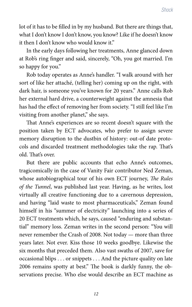lot of it has to be filled in by my husband. But there are things that, what I don't know I don't know, you know? Like if he doesn't know it then I don't know who would know it."

In the early days following her treatments, Anne glanced down at Rob's ring finger and said, sincerely, "Oh, you got married. I'm so happy for you."

Rob today operates as Anne's handler. "I walk around with her sort of like her attaché, (telling her) coming up on the right, with dark hair, is someone you've known for 20 years." Anne calls Rob her external hard drive, a counterweight against the amnesia that has had the effect of removing her from society. "I still feel like I'm visiting from another planet," she says.

That Anne's experiences are so recent doesn't square with the position taken by ECT advocates, who prefer to assign severe memory disruption to the dustbin of history: out-of date protocols and discarded treatment methodologies take the rap. That's old. That's over.

But there are public accounts that echo Anne's outcomes, tragicomically in the case of Vanity Fair contributor Ned Zeman, whose autobiographical tour of his own ECT journey, *The Rules of the Tunnel*, was published last year. Having, as he writes, lost virtually all creative functioning due to a cavernous depression, and having "laid waste to most pharmaceuticals," Zeman found himself in his "summer of electricity" launching into a series of 20 ECT treatments which, he says, caused "enduring and substantial" memory loss. Zeman writes in the second person: "You will never remember the Crash of 2008. Not today — more than three years later. Not ever. Kiss those 10 weeks goodbye. Likewise the six months that preceded them. Also vast swaths of 2007, save for occasional blips . . . or snippets . . . And the picture quality on late 2006 remains spotty at best." The book is darkly funny, the observations precise. Who else would describe an ECT machine as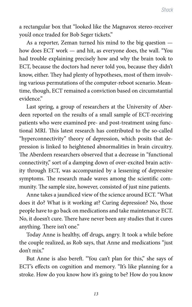a rectangular box that "looked like the Magnavox stereo-receiver you'd once traded for Bob Seger tickets."

As a reporter, Zeman turned his mind to the big question how does ECT work — and hit, as everyone does, the wall. "You had trouble explaining precisely how and why the brain took to ECT, because the doctors had never told you, because they didn't know, either. They had plenty of hypotheses, most of them involving various permutations of the computer-reboot scenario. Meantime, though, ECT remained a conviction based on circumstantial evidence."

Last spring, a group of researchers at the University of Aberdeen reported on the results of a small sample of ECT-receiving patients who were examined pre- and post-treatment using functional MRI. This latest research has contributed to the so-called "hyperconnectivity" theory of depression, which posits that depression is linked to heightened abnormalities in brain circuitry. The Aberdeen researchers observed that a decrease in "functional connectivity," sort of a damping down of over-excited brain activity through ECT, was accompanied by a lessening of depressive symptoms. The research made waves among the scientific community. The sample size, however, consisted of just nine patients.

Anne takes a jaundiced view of the science around ECT. "What does it do? What is it working at? Curing depression? No, those people have to go back on medications and take maintenance ECT. No, it doesn't cure. There have never been any studies that it cures anything. There isn't one."

Today Anne is healthy, off drugs, angry. It took a while before the couple realized, as Rob says, that Anne and medications "just don't mix."

But Anne is also bereft. "You can't plan for this," she says of ECT's effects on cognition and memory. "It's like planning for a stroke. How do you know how it's going to be? How do you know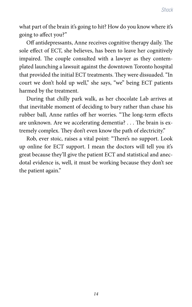what part of the brain it's going to hit? How do you know where it's going to affect you?"

Off antidepressants, Anne receives cognitive therapy daily. The sole effect of ECT, she believes, has been to leave her cognitively impaired. The couple consulted with a lawyer as they contemplated launching a lawsuit against the downtown Toronto hospital that provided the initial ECT treatments. They were dissuaded. "In court we don't hold up well," she says, "we" being ECT patients harmed by the treatment.

During that chilly park walk, as her chocolate Lab arrives at that inevitable moment of deciding to bury rather than chase his rubber ball, Anne rattles off her worries. "The long-term effects are unknown. Are we accelerating dementia? . . . The brain is extremely complex. They don't even know the path of electricity."

Rob, ever stoic, raises a vital point: "There's no support. Look up online for ECT support. I mean the doctors will tell you it's great because they'll give the patient ECT and statistical and anecdotal evidence is, well, it must be working because they don't see the patient again."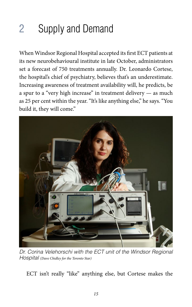## 2 Supply and Demand

When Windsor Regional Hospital accepted its first ECT patients at its new neurobehavioural institute in late October, administrators set a forecast of 750 treatments annually. Dr. Leonardo Cortese, the hospital's chief of psychiatry, believes that's an underestimate. Increasing awareness of treatment availability will, he predicts, be a spur to a "very high increase" in treatment delivery — as much as 25 per cent within the year. "It's like anything else," he says. "You build it, they will come."



Dr. Corina Velehorschi with the ECT unit of the Windsor Regional *Hospital (Dave Chidley for the Toronto Star)*

ECT isn't really "like" anything else, but Cortese makes the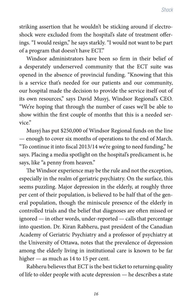striking assertion that he wouldn't be sticking around if electroshock were excluded from the hospital's slate of treatment offerings. "I would resign," he says starkly. "I would not want to be part of a program that doesn't have ECT."

Windsor administrators have been so firm in their belief of a desperately underserved community that the ECT suite was opened in the absence of provincial funding. "Knowing that this is a service that's needed for our patients and our community, our hospital made the decision to provide the service itself out of its own resources," says David Musyj, Windsor Regional's CEO. "We're hoping that through the number of cases we'll be able to show within the first couple of months that this is a needed service."

Musyj has put \$250,000 of Windsor Regional funds on the line — enough to cover six months of operations to the end of March. "To continue it into fiscal 2013/14 we're going to need funding," he says. Placing a media spotlight on the hospital's predicament is, he says, like "a penny from heaven."

The Windsor experience may be the rule and not the exception, especially in the realm of geriatric psychiatry. On the surface, this seems puzzling. Major depression in the elderly, at roughly three per cent of their population, is believed to be half that of the general population, though the miniscule presence of the elderly in controlled trials and the belief that diagnoses are often missed or ignored — in other words, under-reported — calls that percentage into question. Dr. Kiran Rabheru, past president of the Canadian Academy of Geriatric Psychiatry and a professor of psychiatry at the University of Ottawa, notes that the prevalence of depression among the elderly living in institutional care is known to be far higher — as much as 14 to 15 per cent.

Rabheru believes that ECT is the best ticket to returning quality of life to older people with acute depression — he describes a state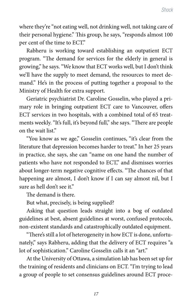where they're "not eating well, not drinking well, not taking care of their personal hygiene." This group, he says, "responds almost 100 per cent of the time to ECT."

Rabheru is working toward establishing an outpatient ECT program. "The demand for services for the elderly in general is growing," he says. "We know that ECT works well, but I don't think we'll have the supply to meet demand, the resources to meet demand." He's in the process of putting together a proposal to the Ministry of Health for extra support.

Geriatric psychiatrist Dr. Caroline Gosselin, who played a primary role in bringing outpatient ECT care to Vancouver, offers ECT services in two hospitals, with a combined total of 65 treatments weekly. "It's full, it's beyond full," she says. "There are people on the wait list."

"You know as we age," Gosselin continues, "it's clear from the literature that depression becomes harder to treat." In her 25 years in practice, she says, she can "name on one hand the number of patients who have not responded to ECT," and dismisses worries about longer-term negative cognitive effects. "The chances of that happening are almost, I don't know if I can say almost nil, but I sure as hell don't see it."

The demand is there.

But what, precisely, is being supplied?

Asking that question leads straight into a bog of outdated guidelines at best, absent guidelines at worst, confused protocols, non-existent standards and catastrophically outdated equipment.

"There's still a lot of heterogeneity in how ECT is done, unfortunately," says Rabheru, adding that the delivery of ECT requires "a lot of sophistication." Caroline Gosselin calls it an "art."

At the University of Ottawa, a simulation lab has been set up for the training of residents and clinicians on ECT. "I'm trying to lead a group of people to set consensus guidelines around ECT proce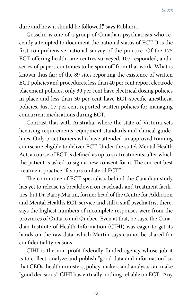dure and how it should be followed," says Rabheru.

Gosselin is one of a group of Canadian psychiatrists who recently attempted to document the national status of ECT. It is the first comprehensive national survey of the practice. Of the 175 ECT-offering health-care centres surveyed, 107 responded, and a series of papers continues to be spun off from that work. What is known thus far: of the 89 sites reporting the existence of written ECT policies and procedures, less than 40 per cent report electrode placement policies, only 30 per cent have electrical dosing policies in place and less than 30 per cent have ECT-specific anesthesia policies. Just 27 per cent reported written policies for managing concurrent medications during ECT.

Contrast that with Australia, where the state of Victoria sets licensing requirements, equipment standards and clinical guidelines. Only practitioners who have attended an approved training course are eligible to deliver ECT. Under the state's Mental Health Act, a course of ECT is defined as up to six treatments, after which the patient is asked to sign a new consent form. The current best treatment practice "favours unilateral ECT."

The committee of ECT specialists behind the Canadian study has yet to release its breakdown on caseloads and treatment facilities, but Dr. Barry Martin, former head of the Centre for Addiction and Mental Health's ECT service and still a staff psychiatrist there, says the highest numbers of incomplete responses were from the provinces of Ontario and Quebec. Even at that, he says, the Canadian Institute of Health Information (CIHI) was eager to get its hands on the raw data, which Martin says cannot be shared for confidentiality reasons.

CIHI is the non-profit federally funded agency whose job it is to collect, analyze and publish "good data and information" so that CEOs, health ministers, policy-makers and analysts can make "good decisions." CIHI has virtually nothing reliable on ECT. "Any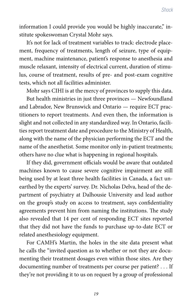information I could provide you would be highly inaccurate," institute spokeswoman Crystal Mohr says.

It's not for lack of treatment variables to track: electrode placement, frequency of treatments, length of seizure, type of equipment, machine maintenance, patient's response to anesthesia and muscle relaxant, intensity of electrical current, duration of stimulus, course of treatment, results of pre- and post-exam cognitive tests, which not all facilities administer.

Mohr says CIHI is at the mercy of provinces to supply this data. But health ministries in just three provinces — Newfoundland and Labrador, New Brunswick and Ontario — require ECT practitioners to report treatments. And even then, the information is slight and not collected in any standardized way. In Ontario, facilities report treatment date and procedure to the Ministry of Health, along with the name of the physician performing the ECT and the name of the anesthetist. Some monitor only in-patient treatments; others have no clue what is happening in regional hospitals.

If they did, government officials would be aware that outdated machines known to cause severe cognitive impairment are still being used by at least three health facilities in Canada, a fact unearthed by the experts' survey. Dr. Nicholas Delva, head of the department of psychiatry at Dalhousie University and lead author on the group's study on access to treatment, says confidentiality agreements prevent him from naming the institutions. The study also revealed that 14 per cent of responding ECT sites reported that they did not have the funds to purchase up-to-date ECT or related anesthesiology equipment.

For CAMH's Martin, the holes in the site data present what he calls the "invited question as to whether or not they are documenting their treatment dosages even within those sites. Are they documenting number of treatments per course per patient? . . . If they're not providing it to us on request by a group of professional

*19*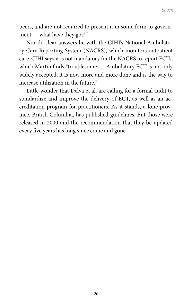peers, and are not required to present it in some form to government — what have they got?"

Nor do clear answers lie with the CIHI's National Ambulatory Care Reporting System (NACRS), which monitors outpatient care. CIHI says it is not mandatory for the NACRS to report ECTs, which Martin finds "troublesome . . . Ambulatory ECT is not only widely accepted, it is now more and more done and is the way to increase utilization in the future"

Little wonder that Delva et al. are calling for a formal audit to standardize and improve the delivery of ECT, as well as an accreditation program for practitioners. As it stands, a lone province, British Columbia, has published guidelines. But those were released in 2000 and the recommendation that they be updated every five years has long since come and gone.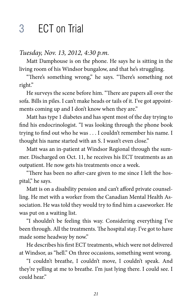### 3 ECT on Trial

#### *Tuesday, Nov. 13, 2012, 4:30 p.m.*

Matt Damphouse is on the phone. He says he is sitting in the living room of his Windsor bungalow, and that he's struggling.

"There's something wrong," he says. "There's something not right."

He surveys the scene before him. "There are papers all over the sofa. Bills in piles. I can't make heads or tails of it. I've got appointments coming up and I don't know when they are."

Matt has type 1 diabetes and has spent most of the day trying to find his endocrinologist. "I was looking through the phone book trying to find out who he was . . . I couldn't remember his name. I thought his name started with an S. I wasn't even close."

Matt was an in-patient at Windsor Regional through the summer. Discharged on Oct. 11, he receives his ECT treatments as an outpatient. He now gets his treatments once a week.

"There has been no after-care given to me since I left the hospital," he says.

Matt is on a disability pension and can't afford private counselling. He met with a worker from the Canadian Mental Health Association. He was told they would try to find him a caseworker. He was put on a waiting list.

"I shouldn't be feeling this way. Considering everything I've been through. All the treatments. The hospital stay. I've got to have made some headway by now."

He describes his first ECT treatments, which were not delivered at Windsor, as "hell." On three occasions, something went wrong.

"I couldn't breathe, I couldn't move, I couldn't speak. And they're yelling at me to breathe. I'm just lying there. I could see. I could hear"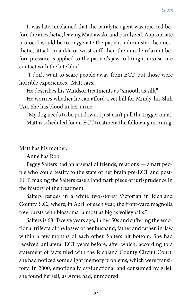It was later explained that the paralytic agent was injected before the anesthetic, leaving Matt awake and paralyzed. Appropriate protocol would be to oxygenate the patient, administer the anesthetic, attach an ankle or wrist cuff, then the muscle relaxant before pressure is applied to the patient's jaw to bring it into secure contact with the bite block.

"I don't want to scare people away from ECT, but those were horrible experiences," Matt says.

He describes his Windsor treatments as "smooth as silk."

He worries whether he can afford a vet bill for Mindy, his Shih Tzu. She has blood in her urine.

**—**

"My dog needs to be put down. I just can't pull the trigger on it." Matt is scheduled for an ECT treatment the following morning.

Matt has his mother.

Anne has Rob.

Peggy Salters had an arsenal of friends, relations — smart people who could testify to the state of her brain pre-ECT and post-ECT, making the Salters case a landmark piece of jurisprudence in the history of the treatment.

Salters resides in a white two-storey Victorian in Richland County, S.C., where, in April of each year, the front-yard magnolia tree bursts with blossoms "almost as big as volleyballs."

Salters is 68. Twelve years ago, in her 50s and suffering the emotional trifecta of the losses of her husband, father and father-in-law within a few months of each other, Salters hit bottom. She had received unilateral ECT years before, after which, according to a statement of facts filed with the Richland County Circuit Court, she had noticed some slight memory problems, which were transitory. In 2000, emotionally dysfunctional and consumed by grief, she found herself, as Anne had, unmoored.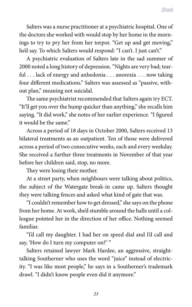Salters was a nurse practitioner at a psychiatric hospital. One of the doctors she worked with would stop by her home in the mornings to try to pry her from her torpor. "Get up and get moving," he'd say. To which Salters would respond: "I can't. I just can't."

A psychiatric evaluation of Salters late in the sad summer of 2000 noted a long history of depression. "Nights are very bad; tearful . . . lack of energy and anhedonia . . . anorexia . . . now taking four different medications." Salters was assessed as "passive, without plan," meaning not suicidal.

The same psychiatrist recommended that Salters again try ECT. "It'll get you over the hump quicker than anything," she recalls him saying. "It did work," she notes of her earlier experience. "I figured it would be the same."

Across a period of 18 days in October 2000, Salters received 13 bilateral treatments as an outpatient. Ten of those were delivered across a period of two consecutive weeks, each and every weekday. She received a further three treatments in November of that year before her children said, stop, no more.

They were losing their mother.

At a street party, when neighbours were talking about politics, the subject of the Watergate break-in came up. Salters thought they were talking fences and asked what kind of gate that was.

"I couldn't remember how to get dressed," she says on the phone from her home. At work, she'd stumble around the halls until a colleague pointed her in the direction of her office. Nothing seemed familiar.

"I'd call my daughter. I had her on speed dial and I'd call and say, 'How do I turn my computer on?' "

Salters retained lawyer Mark Hardee, an aggressive, straighttalking Southerner who uses the word "juice" instead of electricity. "I was like most people," he says in a Southerner's trademark drawl. "I didn't know people even did it anymore."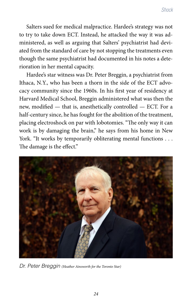Salters sued for medical malpractice. Hardee's strategy was not to try to take down ECT. Instead, he attacked the way it was administered, as well as arguing that Salters' psychiatrist had deviated from the standard of care by not stopping the treatments even though the same psychiatrist had documented in his notes a deterioration in her mental capacity.

Hardee's star witness was Dr. Peter Breggin, a psychiatrist from Ithaca, N.Y., who has been a thorn in the side of the ECT advocacy community since the 1960s. In his first year of residency at Harvard Medical School, Breggin administered what was then the new, modified — that is, anesthetically controlled — ECT. For a half-century since, he has fought for the abolition of the treatment, placing electroshock on par with lobotomies. "The only way it can work is by damaging the brain," he says from his home in New York. "It works by temporarily obliterating mental functions . . . The damage is the effect."



*Dr. Peter Breggin (Heather Ainsworth for the Toronto Star)*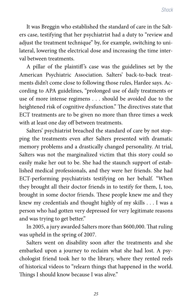It was Breggin who established the standard of care in the Salters case, testifying that her psychiatrist had a duty to "review and adjust the treatment technique" by, for example, switching to unilateral, lowering the electrical dose and increasing the time interval between treatments.

A pillar of the plaintiff 's case was the guidelines set by the American Psychiatric Association. Salters' back-to-back treatments didn't come close to following those rules, Hardee says. According to APA guidelines, "prolonged use of daily treatments or use of more intense regimens . . . should be avoided due to the heightened risk of cognitive dysfunction." The directives state that ECT treatments are to be given no more than three times a week with at least one day off between treatments.

Salters' psychiatrist breached the standard of care by not stopping the treatments even after Salters presented with dramatic memory problems and a drastically changed personality. At trial, Salters was not the marginalized victim that this story could so easily make her out to be. She had the staunch support of established medical professionals, and they were her friends. She had ECT-performing psychiatrists testifying on her behalf. "When they brought all their doctor friends in to testify for them, I, too, brought in some doctor friends. These people knew me and they knew my credentials and thought highly of my skills . . . I was a person who had gotten very depressed for very legitimate reasons and was trying to get better."

In 2005, a jury awarded Salters more than \$600,000. That ruling was upheld in the spring of 2007.

Salters went on disability soon after the treatments and she embarked upon a journey to reclaim what she had lost. A psychologist friend took her to the library, where they rented reels of historical videos to "relearn things that happened in the world. Things I should know because I was alive."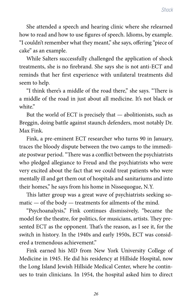She attended a speech and hearing clinic where she relearned how to read and how to use figures of speech. Idioms, by example. "I couldn't remember what they meant," she says, offering "piece of cake" as an example.

While Salters successfully challenged the application of shock treatments, she is no firebrand. She says she is not anti-ECT and reminds that her first experience with unilateral treatments did seem to help.

"I think there's a middle of the road there," she says. "There is a middle of the road in just about all medicine. It's not black or white."

But the world of ECT is precisely that — abolitionists, such as Breggin, doing battle against staunch defenders, most notably Dr. Max Fink.

Fink, a pre-eminent ECT researcher who turns 90 in January, traces the bloody dispute between the two camps to the immediate postwar period. "There was a conflict between the psychiatrists who pledged allegiance to Freud and the psychiatrists who were very excited about the fact that we could treat patients who were mentally ill and get them out of hospitals and sanitariums and into their homes," he says from his home in Nissequogue, N.Y.

This latter group was a great wave of psychiatrists seeking somatic — of the body — treatments for ailments of the mind.

"Psychoanalysis," Fink continues dismissively, "became the model for the theatre, for politics, for musicians, artists. They presented ECT as the opponent. That's the reason, as I see it, for the switch in history. In the 1940s and early 1950s, ECT was considered a tremendous achievement."

Fink earned his MD from New York University College of Medicine in 1945. He did his residency at Hillside Hospital, now the Long Island Jewish Hillside Medical Center, where he continues to train clinicians. In 1954, the hospital asked him to direct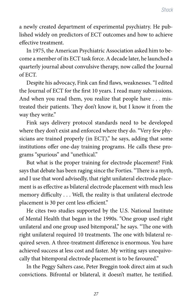a newly created department of experimental psychiatry. He published widely on predictors of ECT outcomes and how to achieve effective treatment.

In 1975, the American Psychiatric Association asked him to become a member of its ECT task force. A decade later, he launched a quarterly journal about convulsive therapy, now called the Journal of ECT.

Despite his advocacy, Fink can find flaws, weaknesses. "I edited the Journal of ECT for the first 10 years. I read many submissions. And when you read them, you realize that people have . . . mistreated their patients. They don't know it, but I know it from the way they write."

Fink says delivery protocol standards need to be developed where they don't exist and enforced where they do. "Very few physicians are trained properly (in ECT)," he says, adding that some institutions offer one-day training programs. He calls these programs "spurious" and "unethical."

But what is the proper training for electrode placement? Fink says that debate has been raging since the Forties. "There is a myth, and I use that word advisedly, that right unilateral electrode placement is as effective as bilateral electrode placement with much less memory difficulty . . . Well, the reality is that unilateral electrode placement is 30 per cent less efficient."

He cites two studies supported by the U.S. National Institute of Mental Health that began in the 1990s. "One group used right unilateral and one group used bitemporal," he says. "The one with right unilateral required 10 treatments. The one with bilateral required seven. A three-treatment difference is enormous. You have achieved success at less cost and faster. My writing says unequivocally that bitemporal electrode placement is to be favoured."

In the Peggy Salters case, Peter Breggin took direct aim at such convictions. Bifrontal or bilateral, it doesn't matter, he testified.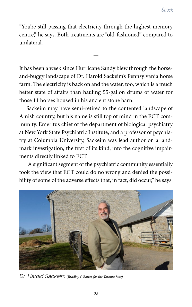"You're still passing that electricity through the highest memory centre," he says. Both treatments are "old-fashioned" compared to unilateral.

**—**

It has been a week since Hurricane Sandy blew through the horseand-buggy landscape of Dr. Harold Sackeim's Pennsylvania horse farm. The electricity is back on and the water, too, which is a much better state of affairs than hauling 55-gallon drums of water for those 11 horses housed in his ancient stone barn.

Sackeim may have semi-retired to the contented landscape of Amish country, but his name is still top of mind in the ECT community. Emeritus chief of the department of biological psychiatry at New York State Psychiatric Institute, and a professor of psychiatry at Columbia University, Sackeim was lead author on a landmark investigation, the first of its kind, into the cognitive impairments directly linked to ECT.

"A significant segment of the psychiatric community essentially took the view that ECT could do no wrong and denied the possibility of some of the adverse effects that, in fact, did occur," he says.



*Dr. Harold Sackeim (Bradley C Bower for the Toronto Star)*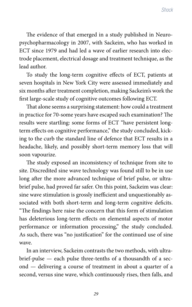The evidence of that emerged in a study published in Neuropsychopharmacology in 2007, with Sackeim, who has worked in ECT since 1979 and had led a wave of earlier research into electrode placement, electrical dosage and treatment technique, as the lead author.

To study the long-term cognitive effects of ECT, patients at seven hospitals in New York City were assessed immediately and six months after treatment completion, making Sackeim's work the first large-scale study of cognitive outcomes following ECT.

That alone seems a surprising statement: how could a treatment in practice for 70-some years have escaped such examination? The results were startling: some forms of ECT "have persistent longterm effects on cognitive performance," the study concluded, kicking to the curb the standard line of defence that ECT results in a headache, likely, and possibly short-term memory loss that will soon vapourize.

The study exposed an inconsistency of technique from site to site. Discredited sine wave technology was found still to be in use long after the more advanced technique of brief pulse, or ultrabrief pulse, had proved far safer. On this point, Sackeim was clear: sine wave stimulation is grossly inefficient and unquestionably associated with both short-term and long-term cognitive deficits. "The findings here raise the concern that this form of stimulation has deleterious long-term effects on elemental aspects of motor performance or information processing," the study concluded. As such, there was "no justification" for the continued use of sine wave.

In an interview, Sackeim contrasts the two methods, with ultrabrief-pulse — each pulse three-tenths of a thousandth of a second — delivering a course of treatment in about a quarter of a second, versus sine wave, which continuously rises, then falls, and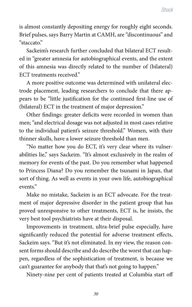is almost constantly depositing energy for roughly eight seconds. Brief pulses, says Barry Martin at CAMH, are "discontinuous" and "staccato"

Sackeim's research further concluded that bilateral ECT resulted in "greater amnesia for autobiographical events, and the extent of this amnesia was directly related to the number of (bilateral) ECT treatments received."

A more positive outcome was determined with unilateral electrode placement, leading researchers to conclude that there appears to be "little justification for the continued first-line use of (bilateral) ECT in the treatment of major depression."

Other findings: greater deficits were recorded in women than men; "and electrical dosage was not adjusted in most cases relative to the individual patient's seizure threshold." Women, with their thinner skulls, have a lower seizure threshold than men.

"No matter how you do ECT, it's very clear where its vulnerabilities lie," says Sackeim. "It's almost exclusively in the realm of memory for events of the past. Do you remember what happened to Princess Diana? Do you remember the tsunami in Japan, that sort of thing. As well as events in your own life, autobiographical events."

Make no mistake, Sackeim is an ECT advocate. For the treatment of major depressive disorder in the patient group that has proved unresponsive to other treatments, ECT is, he insists, the very best tool psychiatrists have at their disposal.

Improvements in treatment, ultra-brief pulse especially, have significantly reduced the potential for adverse treatment effects, Sackeim says. "But it's not eliminated. In my view, the reason consent forms should describe and do describe the worst that can happen, regardless of the sophistication of treatment, is because we can't guarantee for anybody that that's not going to happen."

Ninety-nine per cent of patients treated at Columbia start off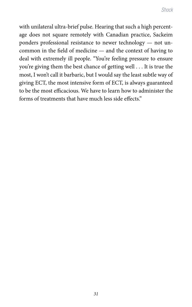with unilateral ultra-brief pulse. Hearing that such a high percentage does not square remotely with Canadian practice, Sackeim ponders professional resistance to newer technology — not uncommon in the field of medicine — and the context of having to deal with extremely ill people. "You're feeling pressure to ensure you're giving them the best chance of getting well . . . It is true the most, I won't call it barbaric, but I would say the least subtle way of giving ECT, the most intensive form of ECT, is always guaranteed to be the most efficacious. We have to learn how to administer the forms of treatments that have much less side effects."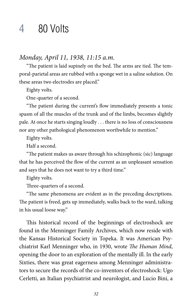#### 4 80 Volts

#### *Monday, April 11, 1938, 11:15 a.m.*

"The patient is laid supinely on the bed. The arms are tied. The temporal-parietal areas are rubbed with a sponge wet in a saline solution. On these areas two electrodes are placed."

Eighty volts.

One-quarter of a second.

"The patient during the current's flow immediately presents a tonic spasm of all the muscles of the trunk and of the limbs, becomes slightly pale. At once he starts singing loudly . . . there is no loss of consciousness nor any other pathological phenomenon worthwhile to mention."

Eighty volts.

Half a second.

"The patient makes us aware through his schizophonic (sic) language that he has perceived the flow of the current as an unpleasant sensation and says that he does not want to try a third time."

Eighty volts.

Three-quarters of a second.

"The same phenomena are evident as in the preceding descriptions. The patient is freed, gets up immediately, walks back to the ward, talking in his usual loose way."

This historical record of the beginnings of electroshock are found in the Menninger Family Archives, which now reside with the Kansas Historical Society in Topeka. It was American Psychiatrist Karl Menninger who, in 1930, wrote *The Human Mind*, opening the door to an exploration of the mentally ill. In the early Sixties, there was great eagerness among Menninger administrators to secure the records of the co-inventors of electroshock: Ugo Cerletti, an Italian psychiatrist and neurologist, and Lucio Bini, a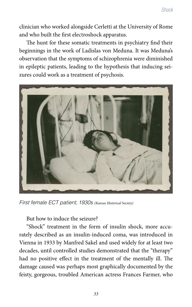clinician who worked alongside Cerletti at the University of Rome and who built the first electroshock apparatus.

The hunt for these somatic treatments in psychiatry find their beginnings in the work of Ladislas von Meduna. It was Meduna's observation that the symptoms of schizophrenia were diminished in epileptic patients, leading to the hypothesis that inducing seizures could work as a treatment of psychosis.



*First female ECT patient, 1930s (Kansas Historical Society)*

But how to induce the seizure?

"Shock" treatment in the form of insulin shock, more accurately described as an insulin-induced coma, was introduced in Vienna in 1933 by Manfred Sakel and used widely for at least two decades, until controlled studies demonstrated that the "therapy" had no positive effect in the treatment of the mentally ill. The damage caused was perhaps most graphically documented by the feisty, gorgeous, troubled American actress Frances Farmer, who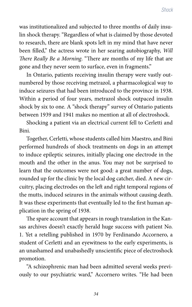was institutionalized and subjected to three months of daily insulin shock therapy. "Regardless of what is claimed by those devoted to research, there are blank spots left in my mind that have never been filled," the actress wrote in her searing autobiography, *Will There Really Be a Morning*. "There are months of my life that are gone and they never seem to surface, even in fragments."

In Ontario, patients receiving insulin therapy were vastly outnumbered by those receiving metrazol, a pharmacological way to induce seizures that had been introduced to the province in 1938. Within a period of four years, metrazol shock outpaced insulin shock by six to one. A "shock therapy" survey of Ontario patients between 1939 and 1941 makes no mention at all of electroshock.

Shocking a patient via an electrical current fell to Cerletti and Bini.

Together, Cerletti, whose students called him Maestro, and Bini performed hundreds of shock treatments on dogs in an attempt to induce epileptic seizures, initially placing one electrode in the mouth and the other in the anus. You may not be surprised to learn that the outcomes were not good: a great number of dogs, rounded up for the clinic by the local dog catcher, died. A new circuitry, placing electrodes on the left and right temporal regions of the mutts, induced seizures in the animals without causing death. It was these experiments that eventually led to the first human application in the spring of 1938.

The spare account that appears in rough translation in the Kansas archives doesn't exactly herald huge success with patient No. 1. Yet a retelling published in 1970 by Ferdinando Accornero, a student of Cerletti and an eyewitness to the early experiments, is an unashamed and unabashedly unscientific piece of electroshock promotion.

"A schizophrenic man had been admitted several weeks previously to our psychiatric ward," Accornero writes. "He had been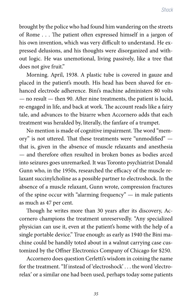brought by the police who had found him wandering on the streets of Rome . . . The patient often expressed himself in a jargon of his own invention, which was very difficult to understand. He expressed delusions, and his thoughts were disorganized and without logic. He was unemotional, living passively, like a tree that does not give fruit."

Morning. April, 1938. A plastic tube is covered in gauze and placed in the patient's mouth. His head has been shaved for enhanced electrode adherence. Bini's machine administers 80 volts — no result — then 90. After nine treatments, the patient is lucid, re-engaged in life, and back at work. The account reads like a fairy tale, and advances to the bizarre when Accornero adds that each treatment was heralded by, literally, the fanfare of a trumpet.

No mention is made of cognitive impairment. The word "memory" is not uttered. That these treatments were "unmodified" that is, given in the absence of muscle relaxants and anesthesia — and therefore often resulted in broken bones as bodies arced into seizures goes unremarked. It was Toronto psychiatrist Donald Gunn who, in the 1950s, researched the efficacy of the muscle relaxant succinylcholine as a possible partner to electroshock. In the absence of a muscle relaxant, Gunn wrote, compression fractures of the spine occur with "alarming frequency"  $-$  in male patients as much as 47 per cent.

Though he writes more than 30 years after its discovery, Accornero champions the treatment unreservedly. "Any specialized physician can use it, even at the patient's home with the help of a single portable device." True enough: as early as 1940 the Bini machine could be handily toted about in a walnut carrying case customized by the Offner Electronics Company of Chicago for \$250.

Accornero does question Cerletti's wisdom in coining the name for the treatment. "If instead of 'electroshock' . . . the word 'electrorelax' or a similar one had been used, perhaps today some patients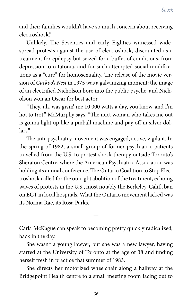and their families wouldn't have so much concern about receiving electroshock."

Unlikely. The Seventies and early Eighties witnessed widespread protests against the use of electroshock, discounted as a treatment for epilepsy but seized for a buffet of conditions, from depression to catatonia, and for such attempted social modifications as a "cure" for homosexuality. The release of the movie version of *Cuckoo's Nest* in 1975 was a galvanizing moment: the image of an electrified Nicholson bore into the public psyche, and Nicholson won an Oscar for best actor.

"They, uh, was givin' me 10,000 watts a day, you know, and I'm hot to trot," McMurphy says. "The next woman who takes me out is gonna light up like a pinball machine and pay off in silver dollars."

The anti-psychiatry movement was engaged, active, vigilant. In the spring of 1982, a small group of former psychiatric patients travelled from the U.S. to protest shock therapy outside Toronto's Sheraton Centre, where the American Psychiatric Association was holding its annual conference. The Ontario Coalition to Stop Electroshock called for the outright abolition of the treatment, echoing waves of protests in the U.S., most notably the Berkeley, Calif., ban on ECT in local hospitals. What the Ontario movement lacked was its Norma Rae, its Rosa Parks.

Carla McKague can speak to becoming pretty quickly radicalized, back in the day.

**—**

She wasn't a young lawyer, but she was a new lawyer, having started at the University of Toronto at the age of 38 and finding herself fresh in practice that summer of 1983.

She directs her motorized wheelchair along a hallway at the Bridgepoint Health centre to a small meeting room facing out to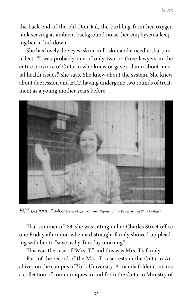the back end of the old Don Jail, the burbling from her oxygen tank serving as ambient background noise, her emphysema keeping her in lockdown.

She has lovely doe eyes, skim-milk skin and a needle-sharp intellect. "I was probably one of only two or three lawyers in the entire province of Ontario who knew or gave a damn about mental health issues," she says. She knew about the system. She knew about depression and ECT, having undergone two rounds of treatment as a young mother years before.



*ECT patient, 1940s (Psychological Cinema Register of the Pennsylvania State College)*

That summer of '83, she was sitting in her Charles Street office one Friday afternoon when a distraught family showed up pleading with her to "save us by Tuesday morning."

This was the case of "Mrs. T" and this was Mrs. T's family.

Part of the record of the Mrs. T. case rests in the Ontario Archives on the campus of York University. A manila folder contains a collection of communiqués to and from the Ontario Ministry of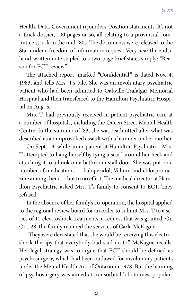Health. Data. Government rejoinders. Position statements. It's not a thick dossier, 100 pages or so, all relating to a provincial committee struck in the mid-'80s. The documents were released to the Star under a freedom of information request. Very near the end, a hand-written note stapled to a two-page brief states simply: "Reason for ECT review"

The attached report, marked "Confidential," is dated Nov. 4, 1983, and tells Mrs. T's tale. She was an involuntary psychiatric patient who had been admitted to Oakville-Trafalgar Memorial Hospital and then transferred to the Hamilton Psychiatric Hospital on Aug. 5.

Mrs. T. had previously received in-patient psychiatric care at a number of hospitals, including the Queen Street Mental Health Centre. In the summer of '83, she was readmitted after what was described as an unprovoked assault with a hammer on her mother.

On Sept. 19, while an in-patient at Hamilton Psychiatric, Mrs. T attempted to hang herself by tying a scarf around her neck and attaching it to a hook on a bathroom stall door. She was put on a number of medications — haloperidol, Valium and chlorpromazine among them — but to no effect. The medical director at Hamilton Psychiatric asked Mrs. T's family to consent to ECT. They refused.

In the absence of her family's co-operation, the hospital applied to the regional review board for an order to submit Mrs. T to a series of 12 electroshock treatments, a request that was granted. On Oct. 28, the family retained the services of Carla McKague.

"They were devastated that she would be receiving this electroshock therapy that everybody had said no to," McKague recalls. Her legal strategy was to argue that ECT should be defined as psychosurgery, which had been outlawed for involuntary patients under the Mental Health Act of Ontario in 1978. But the banning of psychosurgery was aimed at transorbital lobotomies, popular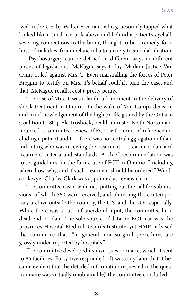ized in the U.S. by Walter Freeman, who gruesomely tapped what looked like a small ice pick above and behind a patient's eyeball, severing connections to the brain, thought to be a remedy for a host of maladies, from melancholia to anxiety to suicidal ideation.

"Psychosurgery can be defined in different ways in different pieces of legislation," McKague says today. Madam Justice Van Camp ruled against Mrs. T. Even marshalling the forces of Peter Breggin to testify on Mrs. T's behalf couldn't turn the case, and that, McKague recalls, cost a pretty penny.

The case of Mrs. T was a landmark moment in the delivery of shock treatment in Ontario. In the wake of Van Camp's decision and in acknowledgement of the high profile gained by the Ontario Coalition to Stop Electroshock, health minister Keith Norton announced a committee review of ECT, with terms of reference including a patient audit — there was no central aggregation of data indicating who was receiving the treatment — treatment data and treatment criteria and standards. A chief recommendation was to set guidelines for the future use of ECT in Ontario, "including when, how, why, and if such treatment should be ordered." Windsor lawyer Charles Clark was appointed as review chair.

The committee cast a wide net, putting out the call for submissions, of which 350 were received, and plumbing the contemporary archive outside the country, the U.S. and the U.K. especially. While there was a rush of anecdotal input, the committee hit a dead end on data. The sole source of data on ECT use was the province's Hospital Medical Records Institute, yet HMRI advised the committee that, "in general, non-surgical procedures are grossly under-reported by hospitals."

The committee developed its own questionnaire, which it sent to 86 facilities. Forty-five responded. "It was only later that it became evident that the detailed information requested in the questionnaire was virtually unobtainable," the committee concluded.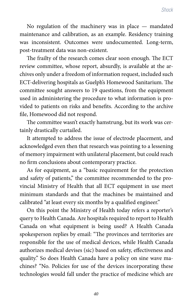No regulation of the machinery was in place — mandated maintenance and calibration, as an example. Residency training was inconsistent. Outcomes were undocumented. Long-term, post-treatment data was non-existent.

The frailty of the research comes clear soon enough. The ECT review committee, whose report, absurdly, is available at the archives only under a freedom of information request, included such ECT-delivering hospitals as Guelph's Homewood Sanitarium. The committee sought answers to 19 questions, from the equipment used in administering the procedure to what information is provided to patients on risks and benefits. According to the archive file, Homewood did not respond.

The committee wasn't exactly hamstrung, but its work was certainly drastically curtailed.

It attempted to address the issue of electrode placement, and acknowledged even then that research was pointing to a lessening of memory impairment with unilateral placement, but could reach no firm conclusions about contemporary practice.

As for equipment, as a "basic requirement for the protection and safety of patients," the committee recommended to the provincial Ministry of Health that all ECT equipment in use meet minimum standards and that the machines be maintained and calibrated "at least every six months by a qualified engineer."

On this point the Ministry of Health today refers a reporter's query to Health Canada. Are hospitals required to report to Health Canada on what equipment is being used? A Health Canada spokesperson replies by email: "The provinces and territories are responsible for the use of medical devices, while Health Canada authorizes medical devises (sic) based on safety, effectiveness and quality." So does Health Canada have a policy on sine wave machines? "No. Policies for use of the devices incorporating these technologies would fall under the practice of medicine which are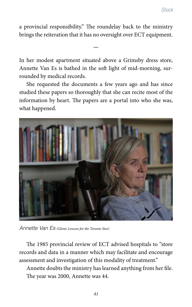a provincial responsibility." The roundelay back to the ministry brings the reiteration that it has no oversight over ECT equipment.

**—**

In her modest apartment situated above a Grimsby dress store, Annette Van Es is bathed in the soft light of mid-morning, surrounded by medical records.

She requested the documents a few years ago and has since studied these papers so thoroughly that she can recite most of the information by heart. The papers are a portal into who she was, what happened.



*Annette Van Es (Glenn Lowson for the Toronto Star)*

The 1985 provincial review of ECT advised hospitals to "store records and data in a manner which may facilitate and encourage assessment and investigation of this modality of treatment."

Annette doubts the ministry has learned anything from her file. The year was 2000, Annette was 44.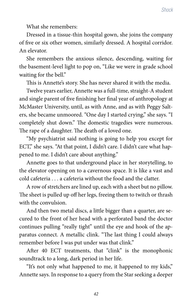What she remembers:

Dressed in a tissue-thin hospital gown, she joins the company of five or six other women, similarly dressed. A hospital corridor. An elevator.

She remembers the anxious silence, descending, waiting for the basement-level light to pop on, "Like we were in grade school waiting for the bell."

This is Annette's story. She has never shared it with the media.

Twelve years earlier, Annette was a full-time, straight-A student and single parent of five finishing her final year of anthropology at McMaster University, until, as with Anne, and as with Peggy Salters, she became unmoored. "One day I started crying," she says. "I completely shut down." The domestic tragedies were numerous. The rape of a daughter. The death of a loved one.

"My psychiatrist said nothing is going to help you except for ECT," she says. "At that point, I didn't care. I didn't care what happened to me. I didn't care about anything."

Annette goes to that underground place in her storytelling, to the elevator opening on to a cavernous space. It is like a vast and cold cafeteria . . . a cafeteria without the food and the clatter.

A row of stretchers are lined up, each with a sheet but no pillow. The sheet is pulled up off her legs, freeing them to twitch or thrash with the convulsion.

And then two metal discs, a little bigger than a quarter, are secured to the front of her head with a perforated band the doctor continues pulling "really tight" until the eye and hook of the apparatus connect. A metallic clink. "The last thing I could always remember before I was put under was that clink."

After 40 ECT treatments, that "clink" is the monophonic soundtrack to a long, dark period in her life.

"It's not only what happened to me, it happened to my kids," Annette says. In response to a query from the Star seeking a deeper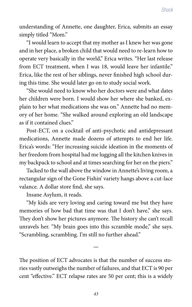understanding of Annette, one daughter, Erica, submits an essay simply titled "Mom."

"I would learn to accept that my mother as I knew her was gone and in her place, a broken child that would need to re-learn how to operate very basically in the world," Erica writes. "Her last release from ECT treatment, when I was 18, would leave her infantile." Erica, like the rest of her siblings, never finished high school during this time. She would later go on to study social work.

"She would need to know who her doctors were and what dates her children were born. I would show her where she banked, explain to her what medications she was on." Annette had no memory of her home. "She walked around exploring an old landscape as if it contained clues."

Post-ECT, on a cocktail of anti-psychotic and antidepressant medications, Annette made dozens of attempts to end her life. Erica's words: "Her increasing suicide ideation in the moments of her freedom from hospital had me lugging all the kitchen knives in my backpack to school and at times searching for her on the piers."

Tacked to the wall above the window in Annette's living room, a rectangular sign of the Gone Fishin' variety hangs above a cut-lace valance. A dollar store find, she says.

Insane Asylum, it reads.

"My kids are very loving and caring toward me but they have memories of how bad that time was that I don't have," she says. They don't show her pictures anymore. The history she can't recall unravels her. "My brain goes into this scramble mode," she says. "Scrambling, scrambling. I'm still no further ahead."

The position of ECT advocates is that the number of success stories vastly outweighs the number of failures, and that ECT is 90 per cent "effective." ECT relapse rates are 50 per cent; this is a widely

**—**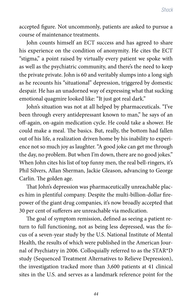accepted figure. Not uncommonly, patients are asked to pursue a course of maintenance treatments.

John counts himself an ECT success and has agreed to share his experience on the condition of anonymity. He cites the ECT "stigma," a point raised by virtually every patient we spoke with as well as the psychiatric community, and there's the need to keep the private private. John is 60 and veritably slumps into a long sigh as he recounts his "situational" depression, triggered by domestic despair. He has an unadorned way of expressing what that sucking emotional quagmire looked like: "It just got real dark."

John's situation was not at all helped by pharmaceuticals. "I've been through every antidepressant known to man," he says of an off-again, on-again medication cycle. He could take a shower. He could make a meal. The basics. But, really, the bottom had fallen out of his life, a realization driven home by his inability to experience not so much joy as laughter. "A good joke can get me through the day, no problem. But when I'm down, there are no good jokes." When John cites his list of top funny men, the real bell-ringers, it's Phil Silvers, Allan Sherman, Jackie Gleason, advancing to George Carlin. The golden age.

That John's depression was pharmaceutically unreachable places him in plentiful company. Despite the multi-billion-dollar firepower of the giant drug companies, it's now broadly accepted that 30 per cent of sufferers are unreachable via medication.

The goal of symptom remission, defined as seeing a patient return to full functioning, not as being less depressed, was the focus of a seven-year study by the U.S. National Institute of Mental Health, the results of which were published in the American Journal of Psychiatry in 2006. Colloquially referred to as the STAR\*D study (Sequenced Treatment Alternatives to Relieve Depression), the investigation tracked more than 3,600 patients at 41 clinical sites in the U.S. and serves as a landmark reference point for the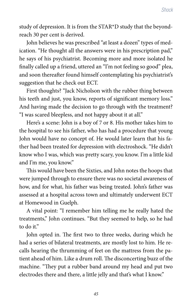study of depression. It is from the STAR\*D study that the beyondreach 30 per cent is derived.

John believes he was prescribed "at least a dozen" types of medication. "He thought all the answers were in his prescription pad," he says of his psychiatrist. Becoming more and more isolated he finally called up a friend, uttered an "I'm not feeling so good" plea, and soon thereafter found himself contemplating his psychiatrist's suggestion that he check out ECT.

First thoughts? "Jack Nicholson with the rubber thing between his teeth and just, you know, reports of significant memory loss." And having made the decision to go through with the treatment? "I was scared bleepless, and not happy about it at all."

Here's a scene: John is a boy of 7 or 8. His mother takes him to the hospital to see his father, who has had a procedure that young John would have no concept of. He would later learn that his father had been treated for depression with electroshock. "He didn't know who I was, which was pretty scary, you know. I'm a little kid and I'm me, you know."

This would have been the Sixties, and John notes the hoops that were jumped through to ensure there was no societal awareness of how, and for what, his father was being treated. John's father was assessed at a hospital across town and ultimately underwent ECT at Homewood in Guelph.

A vital point: "I remember him telling me he really hated the treatments," John continues. "But they seemed to help, so he had to do it."

John opted in. The first two to three weeks, during which he had a series of bilateral treatments, are mostly lost to him. He recalls hearing the thrumming of feet on the mattress from the patient ahead of him. Like a drum roll. The disconcerting buzz of the machine. "They put a rubber band around my head and put two electrodes there and there, a little jelly and that's what I know."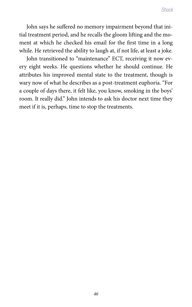John says he suffered no memory impairment beyond that initial treatment period, and he recalls the gloom lifting and the moment at which he checked his email for the first time in a long while. He retrieved the ability to laugh at, if not life, at least a joke.

John transitioned to "maintenance" ECT, receiving it now every eight weeks. He questions whether he should continue. He attributes his improved mental state to the treatment, though is wary now of what he describes as a post-treatment euphoria. "For a couple of days there, it felt like, you know, smoking in the boys' room. It really did." John intends to ask his doctor next time they meet if it is, perhaps, time to stop the treatments.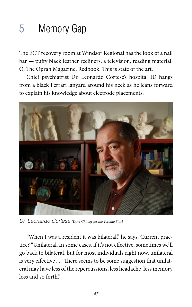## 5 Memory Gap

The ECT recovery room at Windsor Regional has the look of a nail bar — puffy black leather recliners, a television, reading material: O, The Oprah Magazine; Redbook. This is state of the art.

Chief psychiatrist Dr. Leonardo Cortese's hospital ID hangs from a black Ferrari lanyard around his neck as he leans forward to explain his knowledge about electrode placements.



*Dr. Leonardo Cortese (Dave Chidley for the Toronto Star)*

"When I was a resident it was bilateral," he says. Current practice? "Unilateral. In some cases, if it's not effective, sometimes we'll go back to bilateral, but for most individuals right now, unilateral is very effective . . . There seems to be some suggestion that unilateral may have less of the repercussions, less headache, less memory loss and so forth"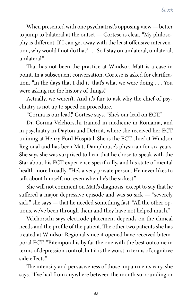When presented with one psychiatrist's opposing view — better to jump to bilateral at the outset — Cortese is clear. "My philosophy is different. If I can get away with the least offensive intervention, why would I not do that? . . . So I stay on unilateral, unilateral, unilateral"

That has not been the practice at Windsor. Matt is a case in point. In a subsequent conversation, Cortese is asked for clarification. "In the days that I did it, that's what we were doing . . . You were asking me the history of things."

Actually, we weren't. And it's fair to ask why the chief of psychiatry is not up to speed on procedure.

"Corina is our lead," Cortese says. "She's our lead on ECT."

Dr. Corina Velehorschi trained in medicine in Romania, and in psychiatry in Dayton and Detroit, where she received her ECT training at Henry Ford Hospital. She is the ECT chief at Windsor Regional and has been Matt Damphouse's physician for six years. She says she was surprised to hear that he chose to speak with the Star about his ECT experience specifically, and his state of mental health more broadly. "He's a very private person. He never likes to talk about himself, not even when he's the sickest."

She will not comment on Matt's diagnosis, except to say that he suffered a major depressive episode and was so sick — "severely sick," she says — that he needed something fast. "All the other options, we've been through them and they have not helped much."

Velehorschi says electrode placement depends on the clinical needs and the profile of the patient. The other two patients she has treated at Windsor Regional since it opened have received bitemporal ECT. "Bitemporal is by far the one with the best outcome in terms of depression control, but it is the worst in terms of cognitive side effects."

The intensity and pervasiveness of those impairments vary, she says. "I've had from anywhere between the month surrounding or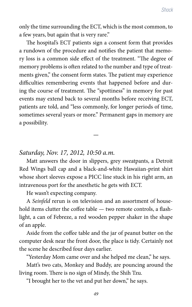only the time surrounding the ECT, which is the most common, to a few years, but again that is very rare."

The hospital's ECT patients sign a consent form that provides a rundown of the procedure and notifies the patient that memory loss is a common side effect of the treatment. "The degree of memory problems is often related to the number and type of treatments given," the consent form states. The patient may experience difficulties remembering events that happened before and during the course of treatment. The "spottiness" in memory for past events may extend back to several months before receiving ECT, patients are told, and "less commonly, for longer periods of time, sometimes several years or more." Permanent gaps in memory are a possibility.

#### *Saturday, Nov. 17, 2012, 10:50 a.m.*

Matt answers the door in slippers, grey sweatpants, a Detroit Red Wings ball cap and a black-and-white Hawaiian-print shirt whose short sleeves expose a PICC line stuck in his right arm, an intravenous port for the anesthetic he gets with ECT.

**—**

He wasn't expecting company.

A *Seinfeld* rerun is on television and an assortment of household items clutter the coffee table — two remote controls, a flashlight, a can of Febreze, a red wooden pepper shaker in the shape of an apple.

Aside from the coffee table and the jar of peanut butter on the computer desk near the front door, the place is tidy. Certainly not the scene he described four days earlier.

"Yesterday Mom came over and she helped me clean," he says.

Matt's two cats, Monkey and Buddy, are pouncing around the living room. There is no sign of Mindy, the Shih Tzu.

"I brought her to the vet and put her down," he says.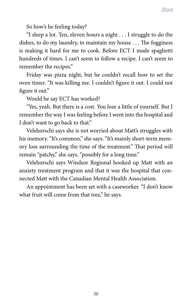So how's he feeling today?

"I sleep a lot. Ten, eleven hours a night . . . I struggle to do the dishes, to do my laundry, to maintain my house . . . The fogginess is making it hard for me to cook. Before ECT I made spaghetti hundreds of times. I can't seem to follow a recipe. I can't seem to remember the recipes."

Friday was pizza night, but he couldn't recall how to set the oven timer. "It was killing me. I couldn't figure it out. I could not figure it out."

Would he say ECT has worked?

"Yes, yeah. But there is a cost. You lose a little of yourself. But I remember the way I was feeling before I went into the hospital and I don't want to go back to that."

Velehorschi says she is not worried about Matt's struggles with his memory. "It's common," she says. "It's mainly short-term memory loss surrounding the time of the treatment." That period will remain "patchy," she says, "possibly for a long time."

Velehorschi says Windsor Regional hooked up Matt with an anxiety treatment program and that it was the hospital that connected Matt with the Canadian Mental Health Association.

An appointment has been set with a caseworker. "I don't know what fruit will come from that tree," he says.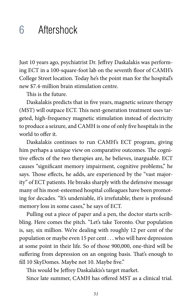#### 6 Aftershock

Just 10 years ago, psychiatrist Dr. Jeffrey Daskalakis was performing ECT in a 100-square-foot lab on the seventh floor of CAMH's College Street location. Today he's the point man for the hospital's new \$7.4-million brain stimulation centre.

This is the future.

Daskalakis predicts that in five years, magnetic seizure therapy (MST) will outpace ECT. This next-generation treatment uses targeted, high-frequency magnetic stimulation instead of electricity to produce a seizure, and CAMH is one of only five hospitals in the world to offer it.

Daskalakis continues to run CAMH's ECT program, giving him perhaps a unique view on comparative outcomes. The cognitive effects of the two therapies are, he believes, inarguable. ECT causes "significant memory impairment, cognitive problems," he says. Those effects, he adds, are experienced by the "vast majority" of ECT patients. He breaks sharply with the defensive message many of his most-esteemed hospital colleagues have been promoting for decades. "It's undeniable, it's irrefutable; there is profound memory loss in some cases," he says of ECT.

Pulling out a piece of paper and a pen, the doctor starts scribbling. Here comes the pitch. "Let's take Toronto. Our population is, say, six million. We're dealing with roughly 12 per cent of the population or maybe even 15 per cent . . . who will have depression at some point in their life. So of those 900,000, one-third will be suffering from depression on an ongoing basis. That's enough to fill 10 SkyDomes. Maybe not 10. Maybe five."

This would be Jeffrey Daskalakis's target market.

Since late summer, CAMH has offered MST as a clinical trial.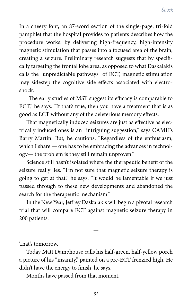In a cheery font, an 87-word section of the single-page, tri-fold pamphlet that the hospital provides to patients describes how the procedure works: by delivering high-frequency, high-intensity magnetic stimulation that passes into a focused area of the brain, creating a seizure. Preliminary research suggests that by specifically targeting the frontal lobe area, as opposed to what Daskalakis calls the "unpredictable pathways" of ECT, magnetic stimulation may sidestep the cognitive side effects associated with electroshock.

"The early studies of MST suggest its efficacy is comparable to ECT," he says. "If that's true, then you have a treatment that is as good as ECT without any of the deleterious memory effects."

That magnetically induced seizures are just as effective as electrically induced ones is an "intriguing suggestion," says CAMH's Barry Martin. But, he cautions, "Regardless of the enthusiasm, which I share — one has to be embracing the advances in technology— the problem is they still remain unproven."

Science still hasn't isolated where the therapeutic benefit of the seizure really lies. "I'm not sure that magnetic seizure therapy is going to get at that," he says. "It would be lamentable if we just passed through to these new developments and abandoned the search for the therapeutic mechanism."

In the New Year, Jeffrey Daskalakis will begin a pivotal research trial that will compare ECT against magnetic seizure therapy in 200 patients.

**—**

That's tomorrow.

Today Matt Damphouse calls his half-green, half-yellow porch a picture of his "insanity," painted on a pre-ECT frenzied high. He didn't have the energy to finish, he says.

Months have passed from that moment.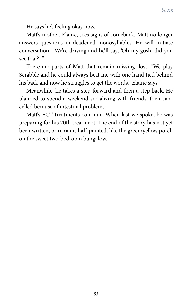He says he's feeling okay now.

Matt's mother, Elaine, sees signs of comeback. Matt no longer answers questions in deadened monosyllables. He will initiate conversation. "We're driving and he'll say, 'Oh my gosh, did you see that?' "

There are parts of Matt that remain missing, lost. "We play Scrabble and he could always beat me with one hand tied behind his back and now he struggles to get the words," Elaine says.

Meanwhile, he takes a step forward and then a step back. He planned to spend a weekend socializing with friends, then cancelled because of intestinal problems.

Matt's ECT treatments continue. When last we spoke, he was preparing for his 20th treatment. The end of the story has not yet been written, or remains half-painted, like the green/yellow porch on the sweet two-bedroom bungalow.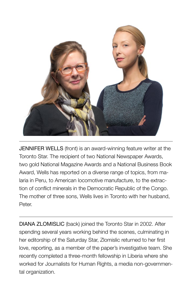

JENNIFER WELLS (front) is an award-winning feature writer at the Toronto Star. The recipient of two National Newspaper Awards, two gold National Magazine Awards and a National Business Book Award, Wells has reported on a diverse range of topics, from malaria in Peru, to American locomotive manufacture, to the extraction of conflict minerals in the Democratic Republic of the Congo. The mother of three sons, Wells lives in Toronto with her husband, Peter.

DIANA ZLOMISLIC (back) joined the Toronto Star in 2002. After spending several years working behind the scenes, culminating in her editorship of the Saturday Star, Zlomislic returned to her first love, reporting, as a member of the paper's investigative team. She recently completed a three-month fellowship in Liberia where she worked for Journalists for Human Rights, a media non-governmental organization.